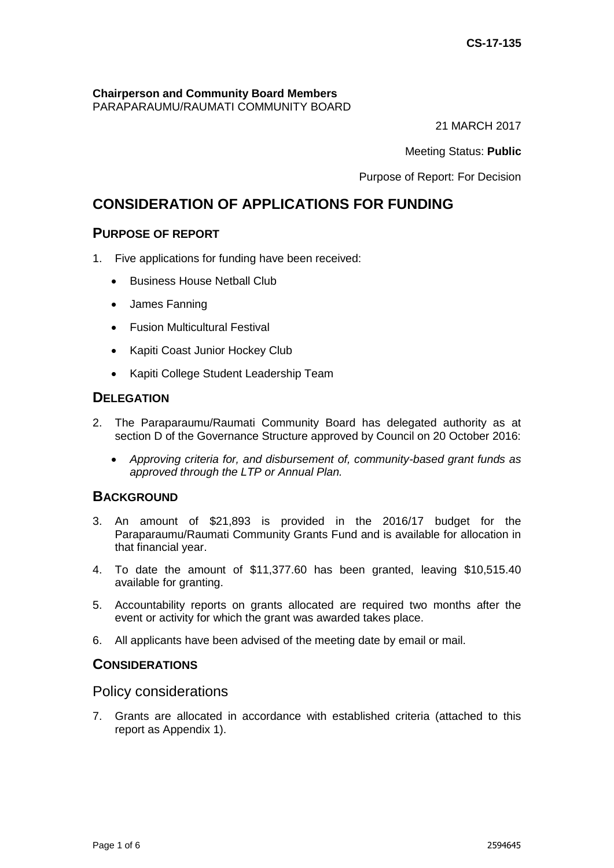# **Chairperson and Community Board Members**

PARAPARAUMU/RAUMATI COMMUNITY BOARD

21 MARCH 2017

Meeting Status: **Public**

Purpose of Report: For Decision

# **CONSIDERATION OF APPLICATIONS FOR FUNDING**

## **PURPOSE OF REPORT**

- 1. Five applications for funding have been received:
	- Business House Netball Club
	- James Fanning
	- Fusion Multicultural Festival
	- Kapiti Coast Junior Hockey Club
	- Kapiti College Student Leadership Team

## **DELEGATION**

- 2. The Paraparaumu/Raumati Community Board has delegated authority as at section D of the Governance Structure approved by Council on 20 October 2016:
	- *Approving criteria for, and disbursement of, community-based grant funds as approved through the LTP or Annual Plan.*

## **BACKGROUND**

- 3. An amount of \$21,893 is provided in the 2016/17 budget for the Paraparaumu/Raumati Community Grants Fund and is available for allocation in that financial year.
- 4. To date the amount of \$11,377.60 has been granted, leaving \$10,515.40 available for granting.
- 5. Accountability reports on grants allocated are required two months after the event or activity for which the grant was awarded takes place.
- 6. All applicants have been advised of the meeting date by email or mail.

## **CONSIDERATIONS**

## Policy considerations

7. Grants are allocated in accordance with established criteria (attached to this report as Appendix 1).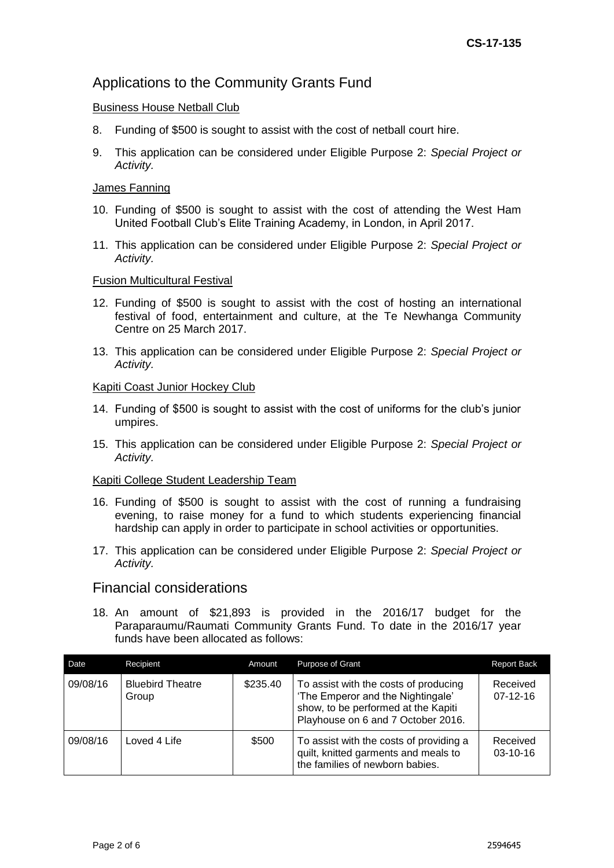## Applications to the Community Grants Fund

#### Business House Netball Club

- 8. Funding of \$500 is sought to assist with the cost of netball court hire.
- 9. This application can be considered under Eligible Purpose 2: *Special Project or Activity.*

#### James Fanning

- 10. Funding of \$500 is sought to assist with the cost of attending the West Ham United Football Club's Elite Training Academy, in London, in April 2017.
- 11. This application can be considered under Eligible Purpose 2: *Special Project or Activity.*

#### Fusion Multicultural Festival

- 12. Funding of \$500 is sought to assist with the cost of hosting an international festival of food, entertainment and culture, at the Te Newhanga Community Centre on 25 March 2017.
- 13. This application can be considered under Eligible Purpose 2: *Special Project or Activity.*

#### Kapiti Coast Junior Hockey Club

- 14. Funding of \$500 is sought to assist with the cost of uniforms for the club's junior umpires.
- 15. This application can be considered under Eligible Purpose 2: *Special Project or Activity.*

#### Kapiti College Student Leadership Team

- 16. Funding of \$500 is sought to assist with the cost of running a fundraising evening, to raise money for a fund to which students experiencing financial hardship can apply in order to participate in school activities or opportunities.
- 17. This application can be considered under Eligible Purpose 2: *Special Project or Activity.*

## Financial considerations

18. An amount of \$21,893 is provided in the 2016/17 budget for the Paraparaumu/Raumati Community Grants Fund. To date in the 2016/17 year funds have been allocated as follows:

| Date     | Recipient                        | Amount   | <b>Purpose of Grant</b>                                                                                                                                 | <b>Report Back</b>         |
|----------|----------------------------------|----------|---------------------------------------------------------------------------------------------------------------------------------------------------------|----------------------------|
| 09/08/16 | <b>Bluebird Theatre</b><br>Group | \$235.40 | To assist with the costs of producing<br>'The Emperor and the Nightingale'<br>show, to be performed at the Kapiti<br>Playhouse on 6 and 7 October 2016. | Received<br>$07-12-16$     |
| 09/08/16 | Loved 4 Life                     | \$500    | To assist with the costs of providing a<br>quilt, knitted garments and meals to<br>the families of newborn babies.                                      | Received<br>$03 - 10 - 16$ |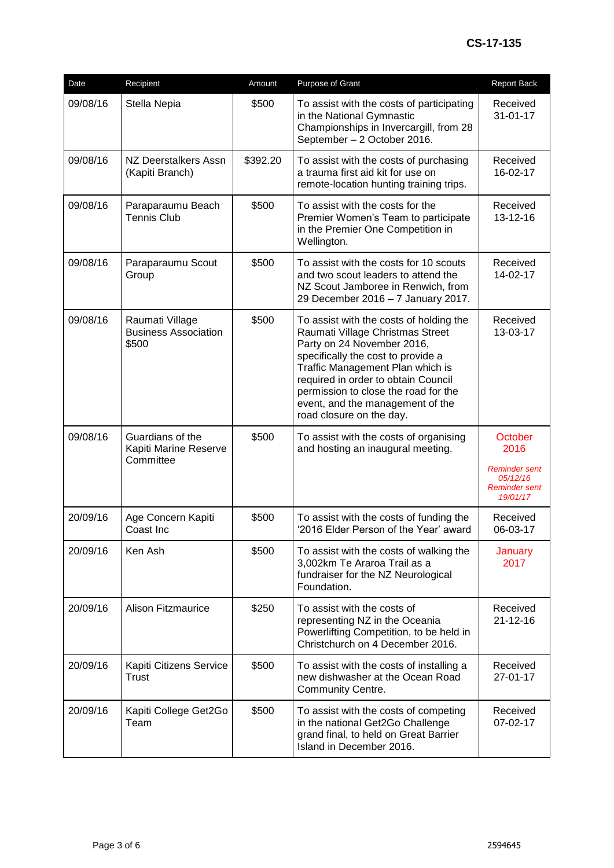| Date     | Recipient                                               | Amount   | Purpose of Grant                                                                                                                                                                                                                                                                                                                   | <b>Report Back</b>                                                               |
|----------|---------------------------------------------------------|----------|------------------------------------------------------------------------------------------------------------------------------------------------------------------------------------------------------------------------------------------------------------------------------------------------------------------------------------|----------------------------------------------------------------------------------|
| 09/08/16 | Stella Nepia                                            | \$500    | To assist with the costs of participating<br>in the National Gymnastic<br>Championships in Invercargill, from 28<br>September - 2 October 2016.                                                                                                                                                                                    | Received<br>$31 - 01 - 17$                                                       |
| 09/08/16 | NZ Deerstalkers Assn<br>(Kapiti Branch)                 | \$392.20 | To assist with the costs of purchasing<br>a trauma first aid kit for use on<br>remote-location hunting training trips.                                                                                                                                                                                                             | Received<br>16-02-17                                                             |
| 09/08/16 | Paraparaumu Beach<br><b>Tennis Club</b>                 | \$500    | To assist with the costs for the<br>Premier Women's Team to participate<br>in the Premier One Competition in<br>Wellington.                                                                                                                                                                                                        | Received<br>13-12-16                                                             |
| 09/08/16 | Paraparaumu Scout<br>Group                              | \$500    | To assist with the costs for 10 scouts<br>and two scout leaders to attend the<br>NZ Scout Jamboree in Renwich, from<br>29 December 2016 - 7 January 2017.                                                                                                                                                                          | Received<br>14-02-17                                                             |
| 09/08/16 | Raumati Village<br><b>Business Association</b><br>\$500 | \$500    | To assist with the costs of holding the<br>Raumati Village Christmas Street<br>Party on 24 November 2016,<br>specifically the cost to provide a<br>Traffic Management Plan which is<br>required in order to obtain Council<br>permission to close the road for the<br>event, and the management of the<br>road closure on the day. | Received<br>13-03-17                                                             |
| 09/08/16 | Guardians of the<br>Kapiti Marine Reserve<br>Committee  | \$500    | To assist with the costs of organising<br>and hosting an inaugural meeting.                                                                                                                                                                                                                                                        | October<br>2016<br><b>Reminder sent</b><br>05/12/16<br>Reminder sent<br>19/01/17 |
| 20/09/16 | Age Concern Kapiti<br>Coast Inc                         | \$500    | To assist with the costs of funding the<br>'2016 Elder Person of the Year' award                                                                                                                                                                                                                                                   | Received<br>06-03-17                                                             |
| 20/09/16 | Ken Ash                                                 | \$500    | To assist with the costs of walking the<br>3,002km Te Araroa Trail as a<br>fundraiser for the NZ Neurological<br>Foundation.                                                                                                                                                                                                       | January<br>2017                                                                  |
| 20/09/16 | <b>Alison Fitzmaurice</b>                               | \$250    | To assist with the costs of<br>representing NZ in the Oceania<br>Powerlifting Competition, to be held in<br>Christchurch on 4 December 2016.                                                                                                                                                                                       | Received<br>$21 - 12 - 16$                                                       |
| 20/09/16 | Kapiti Citizens Service<br>Trust                        | \$500    | To assist with the costs of installing a<br>new dishwasher at the Ocean Road<br><b>Community Centre.</b>                                                                                                                                                                                                                           | Received<br>$27 - 01 - 17$                                                       |
| 20/09/16 | Kapiti College Get2Go<br>Team                           | \$500    | To assist with the costs of competing<br>in the national Get2Go Challenge<br>grand final, to held on Great Barrier<br>Island in December 2016.                                                                                                                                                                                     | Received<br>07-02-17                                                             |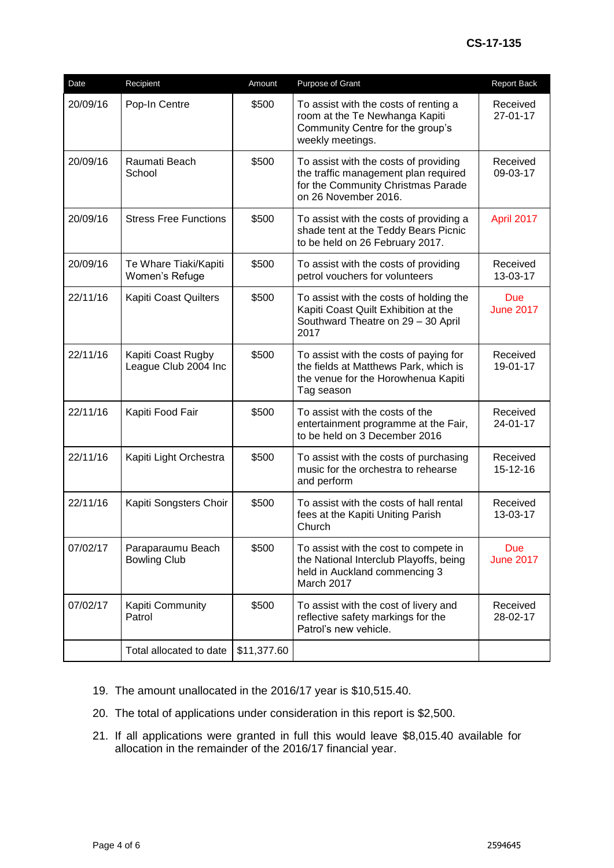| Date     | Recipient                                  | Amount      | Purpose of Grant                                                                                                                            | Report Back                    |
|----------|--------------------------------------------|-------------|---------------------------------------------------------------------------------------------------------------------------------------------|--------------------------------|
| 20/09/16 | Pop-In Centre                              | \$500       | To assist with the costs of renting a<br>room at the Te Newhanga Kapiti<br>Community Centre for the group's<br>weekly meetings.             | Received<br>27-01-17           |
| 20/09/16 | Raumati Beach<br>School                    | \$500       | To assist with the costs of providing<br>the traffic management plan required<br>for the Community Christmas Parade<br>on 26 November 2016. | Received<br>09-03-17           |
| 20/09/16 | <b>Stress Free Functions</b>               | \$500       | To assist with the costs of providing a<br>shade tent at the Teddy Bears Picnic<br>to be held on 26 February 2017.                          | April 2017                     |
| 20/09/16 | Te Whare Tiaki/Kapiti<br>Women's Refuge    | \$500       | To assist with the costs of providing<br>petrol vouchers for volunteers                                                                     | Received<br>13-03-17           |
| 22/11/16 | Kapiti Coast Quilters                      | \$500       | To assist with the costs of holding the<br>Kapiti Coast Quilt Exhibition at the<br>Southward Theatre on 29 - 30 April<br>2017               | <b>Due</b><br><b>June 2017</b> |
| 22/11/16 | Kapiti Coast Rugby<br>League Club 2004 Inc | \$500       | To assist with the costs of paying for<br>the fields at Matthews Park, which is<br>the venue for the Horowhenua Kapiti<br>Tag season        | Received<br>19-01-17           |
| 22/11/16 | Kapiti Food Fair                           | \$500       | To assist with the costs of the<br>entertainment programme at the Fair,<br>to be held on 3 December 2016                                    | Received<br>24-01-17           |
| 22/11/16 | Kapiti Light Orchestra                     | \$500       | To assist with the costs of purchasing<br>music for the orchestra to rehearse<br>and perform                                                | Received<br>15-12-16           |
| 22/11/16 | Kapiti Songsters Choir                     | \$500       | To assist with the costs of hall rental<br>fees at the Kapiti Uniting Parish<br>Church                                                      | Received<br>13-03-17           |
| 07/02/17 | Paraparaumu Beach<br><b>Bowling Club</b>   | \$500       | To assist with the cost to compete in<br>the National Interclub Playoffs, being<br>held in Auckland commencing 3<br>March 2017              | <b>Due</b><br><b>June 2017</b> |
| 07/02/17 | Kapiti Community<br>Patrol                 | \$500       | To assist with the cost of livery and<br>reflective safety markings for the<br>Patrol's new vehicle.                                        | Received<br>28-02-17           |
|          | Total allocated to date                    | \$11,377.60 |                                                                                                                                             |                                |

- 19. The amount unallocated in the 2016/17 year is \$10,515.40.
- 20. The total of applications under consideration in this report is \$2,500.
- 21. If all applications were granted in full this would leave \$8,015.40 available for allocation in the remainder of the 2016/17 financial year.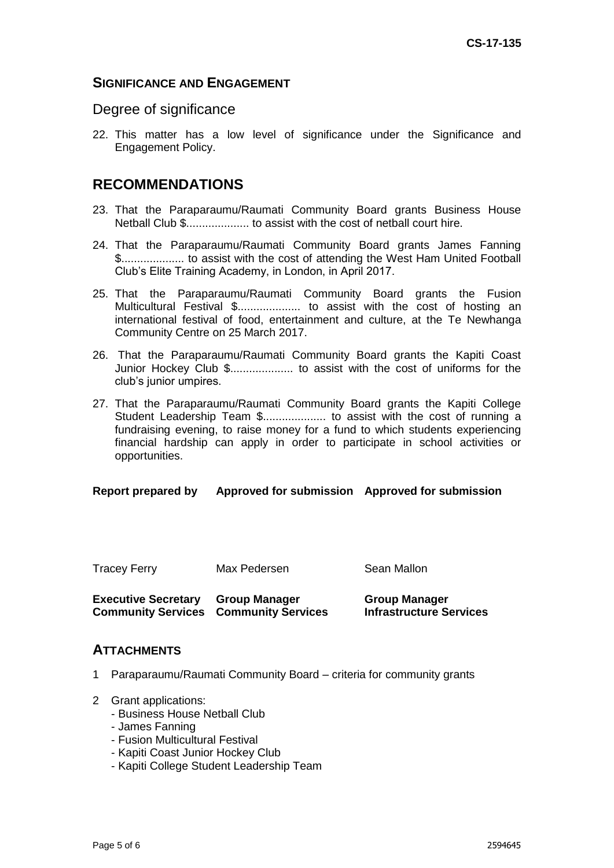## **SIGNIFICANCE AND ENGAGEMENT**

### Degree of significance

22. This matter has a low level of significance under the Significance and Engagement Policy.

## **RECOMMENDATIONS**

- 23. That the Paraparaumu/Raumati Community Board grants Business House Netball Club \$.................... to assist with the cost of netball court hire.
- 24. That the Paraparaumu/Raumati Community Board grants James Fanning \$.................... to assist with the cost of attending the West Ham United Football Club's Elite Training Academy, in London, in April 2017.
- 25. That the Paraparaumu/Raumati Community Board grants the Fusion Multicultural Festival \$..................... to assist with the cost of hosting an international festival of food, entertainment and culture, at the Te Newhanga Community Centre on 25 March 2017.
- 26. That the Paraparaumu/Raumati Community Board grants the Kapiti Coast Junior Hockey Club \$.................... to assist with the cost of uniforms for the club's junior umpires.
- 27. That the Paraparaumu/Raumati Community Board grants the Kapiti College Student Leadership Team \$.................... to assist with the cost of running a fundraising evening, to raise money for a fund to which students experiencing financial hardship can apply in order to participate in school activities or opportunities.

#### **Report prepared by Approved for submission Approved for submission**

| <b>Tracey Ferry</b> | Max Pedersen | Sean Mallon |
|---------------------|--------------|-------------|
|                     |              |             |

| <b>Executive Secretary Group Manager</b> |                                              | <b>Group Manager</b>           |
|------------------------------------------|----------------------------------------------|--------------------------------|
|                                          | <b>Community Services Community Services</b> | <b>Infrastructure Services</b> |

#### **ATTACHMENTS**

- 1 Paraparaumu/Raumati Community Board criteria for community grants
- 2 Grant applications:
	- Business House Netball Club
	- James Fanning
	- Fusion Multicultural Festival
	- Kapiti Coast Junior Hockey Club
	- Kapiti College Student Leadership Team